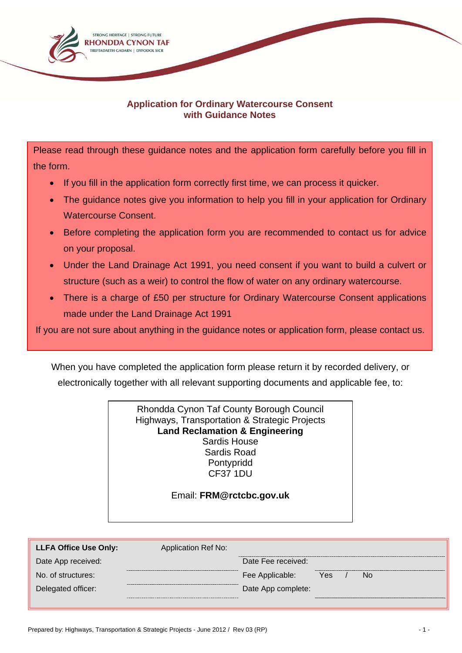

## **Application for Ordinary Watercourse Consent with Guidance Notes**

Please read through these guidance notes and the application form carefully before you fill in the form.

- If you fill in the application form correctly first time, we can process it quicker.
- The quidance notes give you information to help you fill in your application for Ordinary Watercourse Consent.
- Before completing the application form you are recommended to contact us for advice on your proposal.
- Under the Land Drainage Act 1991, you need consent if you want to build a culvert or structure (such as a weir) to control the flow of water on any ordinary watercourse.
- There is a charge of £50 per structure for Ordinary Watercourse Consent applications made under the Land Drainage Act 1991

If you are not sure about anything in the guidance notes or application form, please contact us.

When you have completed the application form please return it by recorded delivery, or electronically together with all relevant supporting documents and applicable fee, to:

> Rhondda Cynon Taf County Borough Council Highways, Transportation & Strategic Projects **Land Reclamation & Engineering**  Sardis House Sardis Road Pontypridd CF37 1DU

#### Email: **FRM@rctcbc.gov.uk**

| <b>LLFA Office Use Only:</b> | Application Ref No: |                    |     |    |
|------------------------------|---------------------|--------------------|-----|----|
| Date App received:           |                     | Date Fee received: |     |    |
| No. of structures:           |                     | Fee Applicable:    | Yes | No |
| Delegated officer:           |                     | Date App complete: |     |    |
|                              |                     |                    |     |    |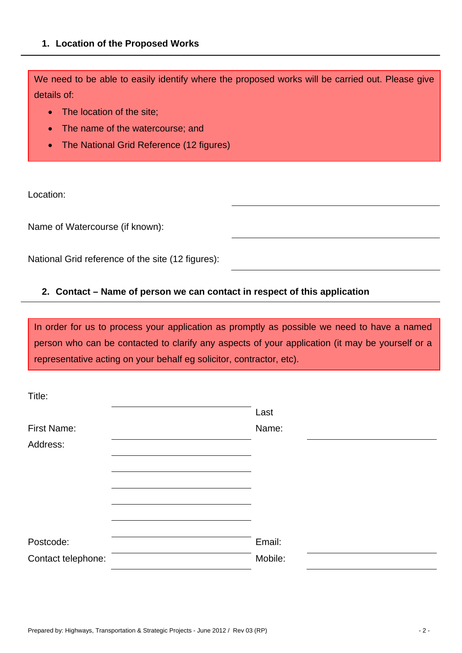## **1. Location of the Proposed Works**

We need to be able to easily identify where the proposed works will be carried out. Please give details of:

- The location of the site:
- The name of the watercourse; and
- The National Grid Reference (12 figures)

Location:

Name of Watercourse (if known):

National Grid reference of the site (12 figures):

# **2. Contact – Name of person we can contact in respect of this application**

In order for us to process your application as promptly as possible we need to have a named person who can be contacted to clarify any aspects of your application (it may be yourself or a representative acting on your behalf eg solicitor, contractor, etc).

| Title:             |         |  |
|--------------------|---------|--|
|                    | Last    |  |
| First Name:        | Name:   |  |
| Address:           |         |  |
|                    |         |  |
|                    |         |  |
|                    |         |  |
|                    |         |  |
|                    |         |  |
| Postcode:          | Email:  |  |
| Contact telephone: | Mobile: |  |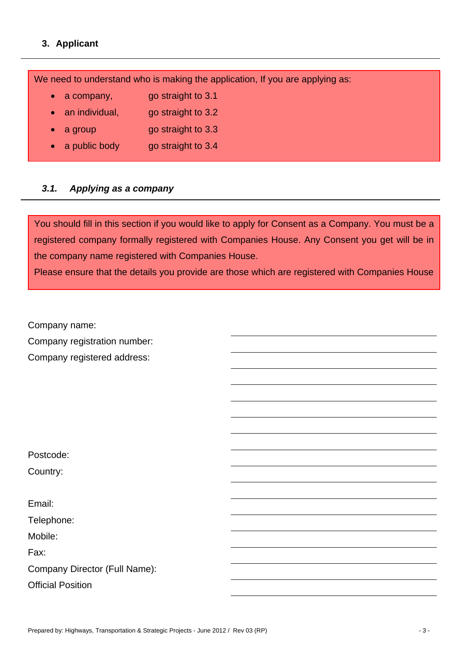# **3. Applicant**

We need to understand who is making the application, If you are applying as:

- a company, go straight to 3.1
- an individual, go straight to 3.2
- a group go straight to 3.3
- a public body go straight to 3.4

# *3.1. Applying as a company*

You should fill in this section if you would like to apply for Consent as a Company. You must be a registered company formally registered with Companies House. Any Consent you get will be in the company name registered with Companies House.

Please ensure that the details you provide are those which are registered with Companies House

Company name: Company registration number: Company registered address:

Postcode: Country:

Email:

Telephone:

Mobile:

Fax:

Company Director (Full Name):

Official Position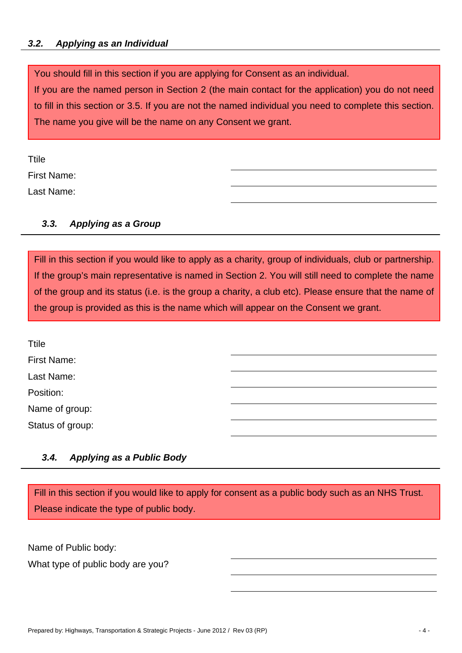## *3.2.**Applying as an Individual*

You should fill in this section if you are applying for Consent as an individual.

If you are the named person in Section 2 (the main contact for the application) you do not need to fill in this section or 3.5. If you are not the named individual you need to complete this section. The name you give will be the name on any Consent we grant.

Ttile

First Name:

Last Name:

# *3.3. Applying as a Group*

Fill in this section if you would like to apply as a charity, group of individuals, club or partnership. If the group's main representative is named in Section 2. You will still need to complete the name of the group and its status (i.e. is the group a charity, a club etc). Please ensure that the name of the group is provided as this is the name which will appear on the Consent we grant.

| <b>Ttile</b>     |  |
|------------------|--|
| First Name:      |  |
| Last Name:       |  |
| Position:        |  |
| Name of group:   |  |
| Status of group: |  |

# *3.4. Applying as a Public Body*

Fill in this section if you would like to apply for consent as a public body such as an NHS Trust. Please indicate the type of public body.

Name of Public body:

What type of public body are you?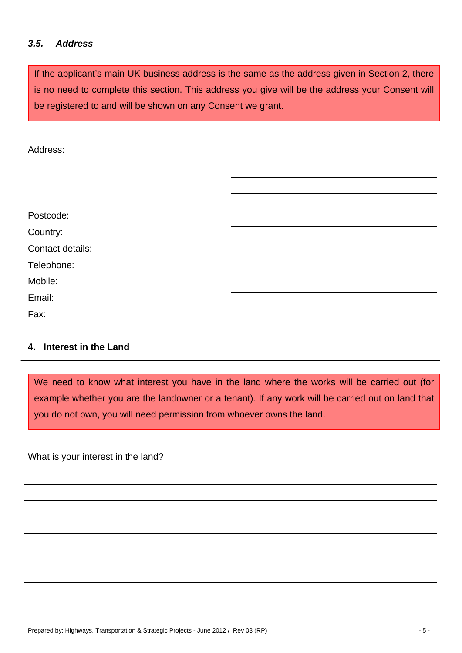#### *3.5. Address*

If the applicant's main UK business address is the same as the address given in Section 2, there is no need to complete this section. This address you give will be the address your Consent will be registered to and will be shown on any Consent we grant.

Address:

| Postcode:        |  |
|------------------|--|
| Country:         |  |
| Contact details: |  |
| Telephone:       |  |
| Mobile:          |  |
| Email:           |  |
| Fax:             |  |

### **4. Interest in the Land**

We need to know what interest you have in the land where the works will be carried out (for example whether you are the landowner or a tenant). If any work will be carried out on land that you do not own, you will need permission from whoever owns the land.

What is your interest in the land?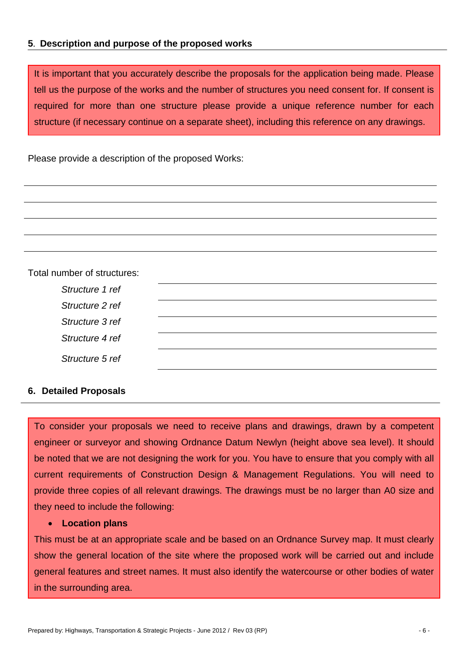## **5**. **Description and purpose of the proposed works**

It is important that you accurately describe the proposals for the application being made. Please tell us the purpose of the works and the number of structures you need consent for. If consent is required for more than one structure please provide a unique reference number for each structure (if necessary continue on a separate sheet), including this reference on any drawings.

Please provide a description of the proposed Works:

| Total number of structures: |  |  |
|-----------------------------|--|--|
| Structure 1 ref             |  |  |
| Structure 2 ref             |  |  |
| Structure 3 ref             |  |  |
| Structure 4 ref             |  |  |
| Structure 5 ref             |  |  |
|                             |  |  |

#### **6. Detailed Proposals**

To consider your proposals we need to receive plans and drawings, drawn by a competent engineer or surveyor and showing Ordnance Datum Newlyn (height above sea level). It should be noted that we are not designing the work for you. You have to ensure that you comply with all current requirements of Construction Design & Management Regulations. You will need to provide three copies of all relevant drawings. The drawings must be no larger than A0 size and they need to include the following:

## **Location plans**

This must be at an appropriate scale and be based on an Ordnance Survey map. It must clearly show the general location of the site where the proposed work will be carried out and include general features and street names. It must also identify the watercourse or other bodies of water in the surrounding area.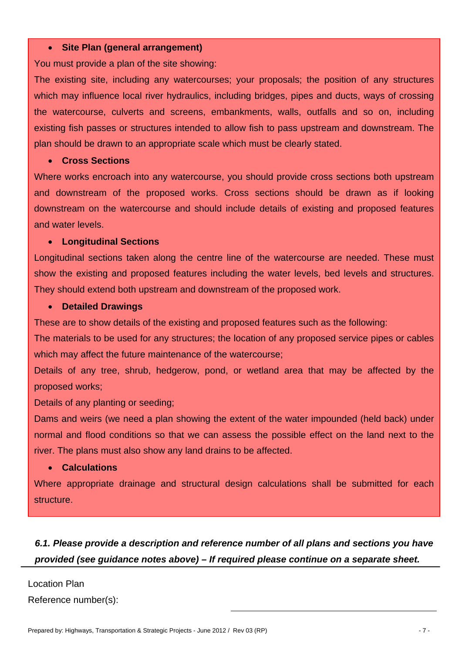#### **Site Plan (general arrangement)**

You must provide a plan of the site showing:

The existing site, including any watercourses; your proposals; the position of any structures which may influence local river hydraulics, including bridges, pipes and ducts, ways of crossing the watercourse, culverts and screens, embankments, walls, outfalls and so on, including existing fish passes or structures intended to allow fish to pass upstream and downstream. The plan should be drawn to an appropriate scale which must be clearly stated.

#### **Cross Sections**

Where works encroach into any watercourse, you should provide cross sections both upstream and downstream of the proposed works. Cross sections should be drawn as if looking downstream on the watercourse and should include details of existing and proposed features and water levels.

## **Longitudinal Sections**

Longitudinal sections taken along the centre line of the watercourse are needed. These must show the existing and proposed features including the water levels, bed levels and structures. They should extend both upstream and downstream of the proposed work.

#### **Detailed Drawings**

These are to show details of the existing and proposed features such as the following:

The materials to be used for any structures; the location of any proposed service pipes or cables which may affect the future maintenance of the watercourse;

Details of any tree, shrub, hedgerow, pond, or wetland area that may be affected by the proposed works;

Details of any planting or seeding;

Dams and weirs (we need a plan showing the extent of the water impounded (held back) under normal and flood conditions so that we can assess the possible effect on the land next to the river. The plans must also show any land drains to be affected.

#### **Calculations**

Where appropriate drainage and structural design calculations shall be submitted for each structure.

# *6.1. Please provide a description and reference number of all plans and sections you have provided (see guidance notes above) – If required please continue on a separate sheet.*

Location Plan Reference number(s):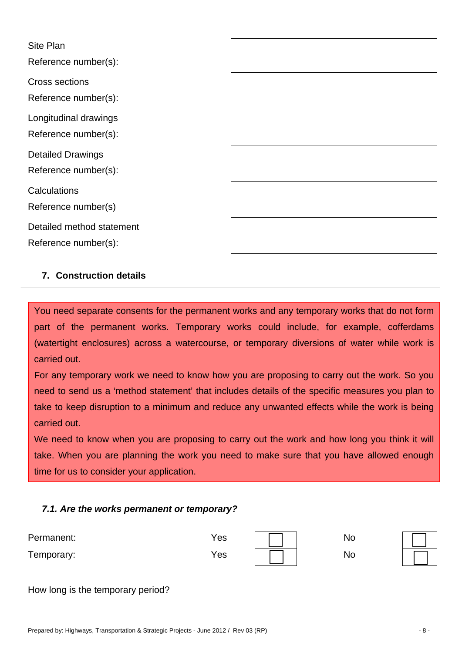| Site Plan<br>Reference number(s):                 |  |
|---------------------------------------------------|--|
| Cross sections<br>Reference number(s):            |  |
| Longitudinal drawings<br>Reference number(s):     |  |
| <b>Detailed Drawings</b><br>Reference number(s):  |  |
| Calculations<br>Reference number(s)               |  |
| Detailed method statement<br>Reference number(s): |  |

## **7. Construction details**

You need separate consents for the permanent works and any temporary works that do not form part of the permanent works. Temporary works could include, for example, cofferdams (watertight enclosures) across a watercourse, or temporary diversions of water while work is carried out.

For any temporary work we need to know how you are proposing to carry out the work. So you need to send us a 'method statement' that includes details of the specific measures you plan to take to keep disruption to a minimum and reduce any unwanted effects while the work is being carried out.

We need to know when you are proposing to carry out the work and how long you think it will take. When you are planning the work you need to make sure that you have allowed enough time for us to consider your application.

#### *7.1. Are the works permanent or temporary?*

| Permanent: | Yes | No |  |
|------------|-----|----|--|
| Temporary: | Yes | No |  |

|  |  | How long is the temporary period? |  |
|--|--|-----------------------------------|--|
|--|--|-----------------------------------|--|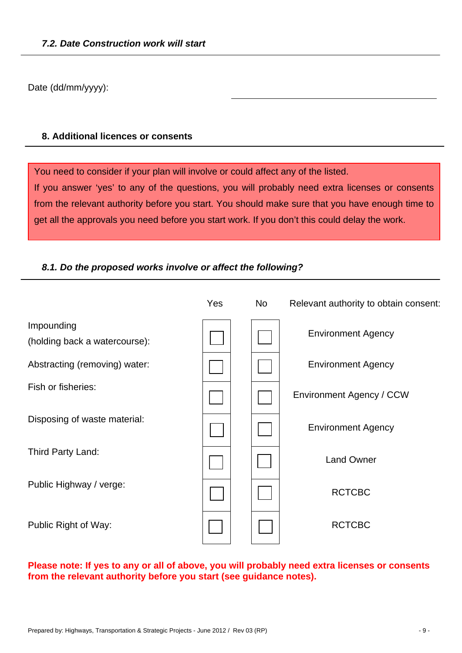Date (dd/mm/yyyy):

## **8. Additional licences or consents**

You need to consider if your plan will involve or could affect any of the listed. If you answer 'yes' to any of the questions, you will probably need extra licenses or consents from the relevant authority before you start. You should make sure that you have enough time to get all the approvals you need before you start work. If you don't this could delay the work.

# *8.1. Do the proposed works involve or affect the following?*

|                                             | Yes | <b>No</b> | Relevant authority to obtain consent: |
|---------------------------------------------|-----|-----------|---------------------------------------|
| Impounding<br>(holding back a watercourse): |     |           | <b>Environment Agency</b>             |
| Abstracting (removing) water:               |     |           | <b>Environment Agency</b>             |
| Fish or fisheries:                          |     |           | Environment Agency / CCW              |
| Disposing of waste material:                |     |           | <b>Environment Agency</b>             |
| Third Party Land:                           |     |           | <b>Land Owner</b>                     |
| Public Highway / verge:                     |     |           | <b>RCTCBC</b>                         |
| Public Right of Way:                        |     |           | <b>RCTCBC</b>                         |

# **Please note: If yes to any or all of above, you will probably need extra licenses or consents from the relevant authority before you start (see guidance notes).**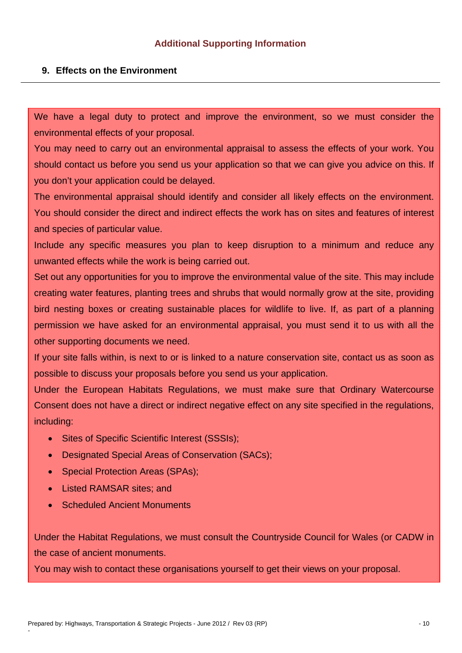#### **9. Effects on the Environment**

We have a legal duty to protect and improve the environment, so we must consider the environmental effects of your proposal.

You may need to carry out an environmental appraisal to assess the effects of your work. You should contact us before you send us your application so that we can give you advice on this. If you don't your application could be delayed.

The environmental appraisal should identify and consider all likely effects on the environment. You should consider the direct and indirect effects the work has on sites and features of interest and species of particular value.

Include any specific measures you plan to keep disruption to a minimum and reduce any unwanted effects while the work is being carried out.

Set out any opportunities for you to improve the environmental value of the site. This may include creating water features, planting trees and shrubs that would normally grow at the site, providing bird nesting boxes or creating sustainable places for wildlife to live. If, as part of a planning permission we have asked for an environmental appraisal, you must send it to us with all the other supporting documents we need.

If your site falls within, is next to or is linked to a nature conservation site, contact us as soon as possible to discuss your proposals before you send us your application.

Under the European Habitats Regulations, we must make sure that Ordinary Watercourse Consent does not have a direct or indirect negative effect on any site specified in the regulations, including:

- Sites of Specific Scientific Interest (SSSIs):
- Designated Special Areas of Conservation (SACs);
- Special Protection Areas (SPAs);
- Listed RAMSAR sites: and

-

• Scheduled Ancient Monuments

Under the Habitat Regulations, we must consult the Countryside Council for Wales (or CADW in the case of ancient monuments.

You may wish to contact these organisations yourself to get their views on your proposal.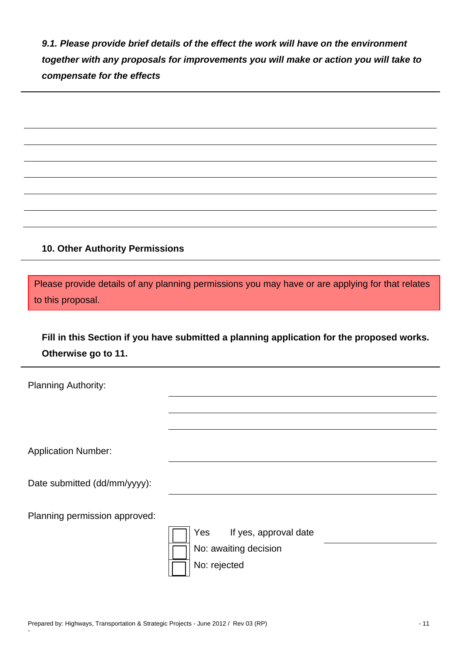*9.1. Please provide brief details of the effect the work will have on the environment together with any proposals for improvements you will make or action you will take to compensate for the effects* 

## **10. Other Authority Permissions**

Please provide details of any planning permissions you may have or are applying for that relates to this proposal.

**Fill in this Section if you have submitted a planning application for the proposed works. Otherwise go to 11.** 

| <b>Planning Authority:</b>    |                              |
|-------------------------------|------------------------------|
|                               |                              |
|                               |                              |
| <b>Application Number:</b>    |                              |
| Date submitted (dd/mm/yyyy):  |                              |
| Planning permission approved: |                              |
|                               | Yes<br>If yes, approval date |
|                               | No: awaiting decision        |
|                               | No: rejected                 |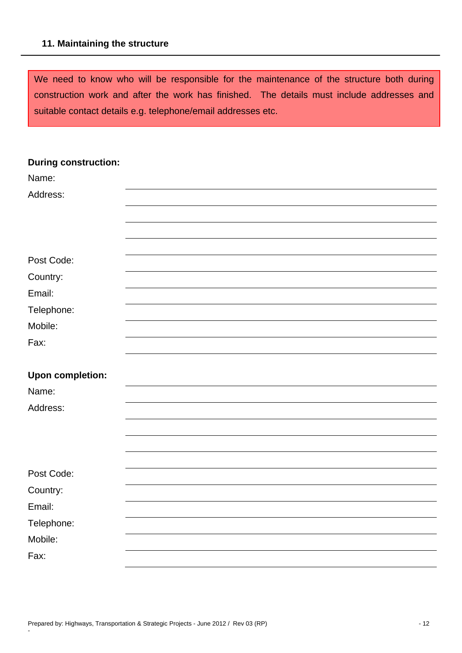#### **11. Maintaining the structure**

We need to know who will be responsible for the maintenance of the structure both during construction work and after the work has finished. The details must include addresses and suitable contact details e.g. telephone/email addresses etc.

| <b>During construction:</b> |  |
|-----------------------------|--|
| Name:                       |  |
| Address:                    |  |
|                             |  |
|                             |  |
|                             |  |
| Post Code:                  |  |
| Country:                    |  |
| Email:                      |  |
| Telephone:                  |  |
| Mobile:                     |  |
| Fax:                        |  |
|                             |  |
| <b>Upon completion:</b>     |  |
| Name:                       |  |
| Address:                    |  |
|                             |  |
|                             |  |
|                             |  |
| Post Code:                  |  |
| Country:                    |  |
| Email:                      |  |
| Telephone:                  |  |
| Mobile:                     |  |
| Fax:                        |  |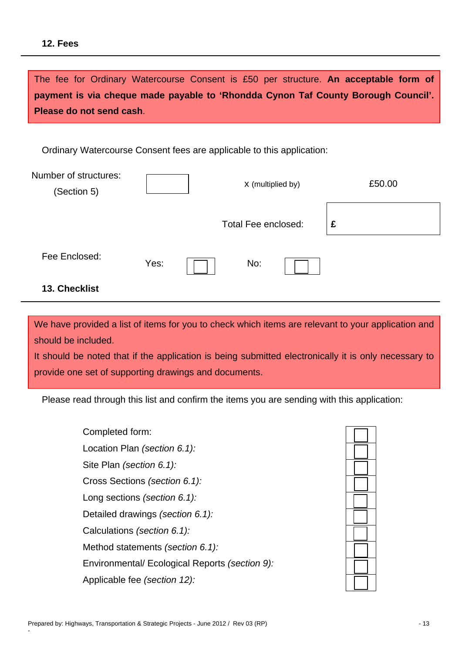#### **12. Fees**

The fee for Ordinary Watercourse Consent is £50 per structure. **An acceptable form of payment is via cheque made payable to 'Rhondda Cynon Taf County Borough Council'. Please do not send cash**.

Ordinary Watercourse Consent fees are applicable to this application:

| Number of structures:<br>(Section 5) |      | X (multiplied by)          |  | £50.00 |  |
|--------------------------------------|------|----------------------------|--|--------|--|
|                                      |      | <b>Total Fee enclosed:</b> |  | £      |  |
| Fee Enclosed:                        | Yes: | No:                        |  |        |  |
| 13. Checklist                        |      |                            |  |        |  |

We have provided a list of items for you to check which items are relevant to your application and should be included.

It should be noted that if the application is being submitted electronically it is only necessary to provide one set of supporting drawings and documents.

Please read through this list and confirm the items you are sending with this application:

Completed form: Location Plan *(section 6.1):* Site Plan *(section 6.1):* Cross Sections *(section 6.1):* Long sections *(section 6.1):* Detailed drawings *(section 6.1):* Calculations *(section 6.1):* Method statements *(section 6.1):* Environmental/ Ecological Reports *(section 9):* Applicable fee *(section 12):*



-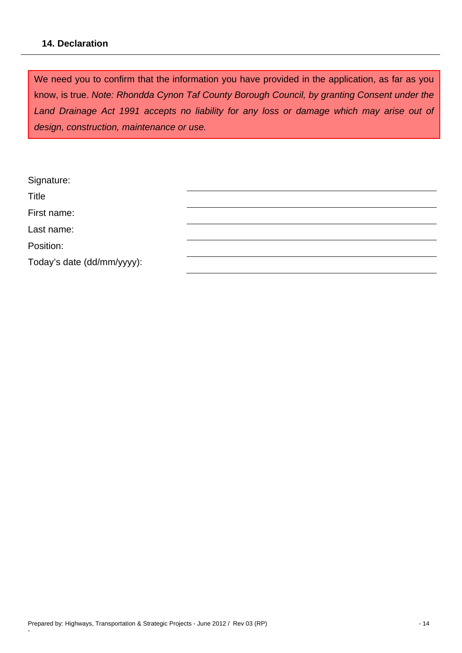## **14. Declaration**

We need you to confirm that the information you have provided in the application, as far as you know, is true. *Note: Rhondda Cynon Taf County Borough Council, by granting Consent under the Land Drainage Act 1991 accepts no liability for any loss or damage which may arise out of design, construction, maintenance or use.* 

| Signature:                 |  |
|----------------------------|--|
| Title                      |  |
| First name:                |  |
| Last name:                 |  |
| Position:                  |  |
| Today's date (dd/mm/yyyy): |  |

-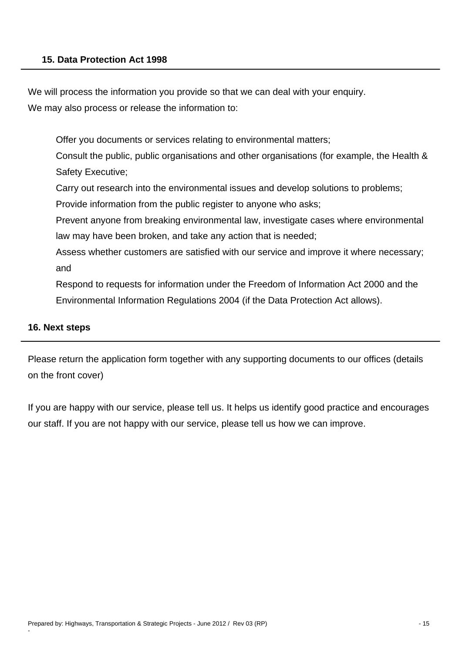We will process the information you provide so that we can deal with your enquiry. We may also process or release the information to:

Offer you documents or services relating to environmental matters;

Consult the public, public organisations and other organisations (for example, the Health & Safety Executive;

Carry out research into the environmental issues and develop solutions to problems;

Provide information from the public register to anyone who asks;

Prevent anyone from breaking environmental law, investigate cases where environmental law may have been broken, and take any action that is needed;

Assess whether customers are satisfied with our service and improve it where necessary; and

Respond to requests for information under the Freedom of Information Act 2000 and the Environmental Information Regulations 2004 (if the Data Protection Act allows).

## **16. Next steps**

-

Please return the application form together with any supporting documents to our offices (details on the front cover)

If you are happy with our service, please tell us. It helps us identify good practice and encourages our staff. If you are not happy with our service, please tell us how we can improve.